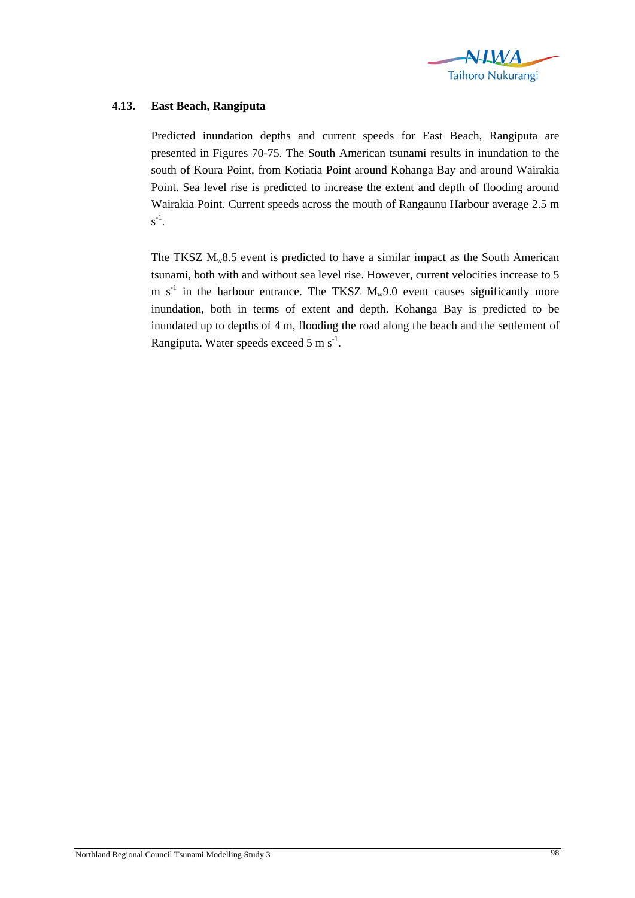

## **4.13. East Beach, Rangiputa**

Predicted inundation depths and current speeds for East Beach, Rangiputa are presented in Figures 70-75. The South American tsunami results in inundation to the south of Koura Point, from Kotiatia Point around Kohanga Bay and around Wairakia Point. Sea level rise is predicted to increase the extent and depth of flooding around Wairakia Point. Current speeds across the mouth of Rangaunu Harbour average 2.5 m  $s^{-1}$ .

The TKSZ  $M_w8.5$  event is predicted to have a similar impact as the South American tsunami, both with and without sea level rise. However, current velocities increase to 5 m  $s^{-1}$  in the harbour entrance. The TKSZ  $M_w9.0$  event causes significantly more inundation, both in terms of extent and depth. Kohanga Bay is predicted to be inundated up to depths of 4 m, flooding the road along the beach and the settlement of Rangiputa. Water speeds exceed  $5 \text{ m s}^{-1}$ .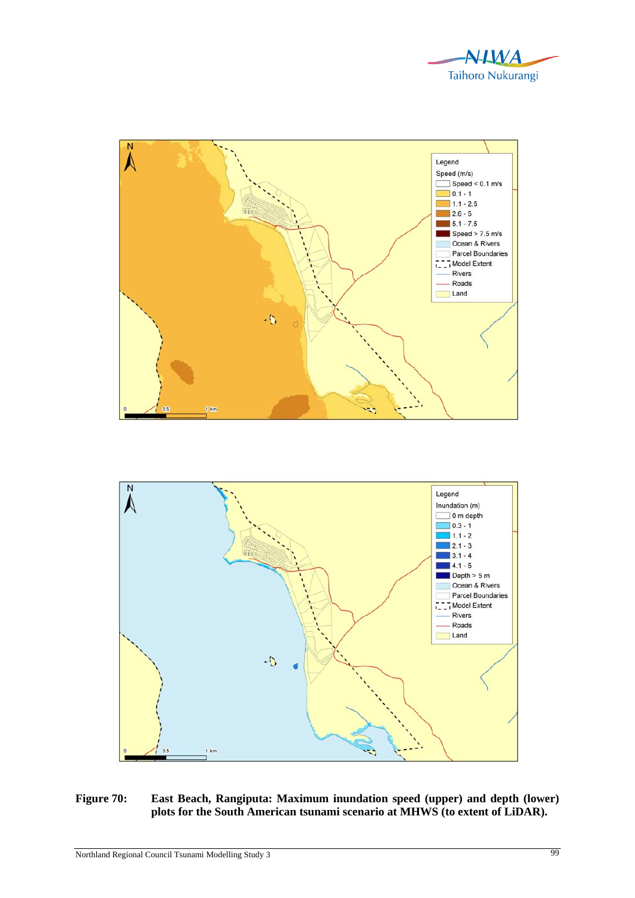





## **Figure 70: East Beach, Rangiputa: Maximum inundation speed (upper) and depth (lower) plots for the South American tsunami scenario at MHWS (to extent of LiDAR).**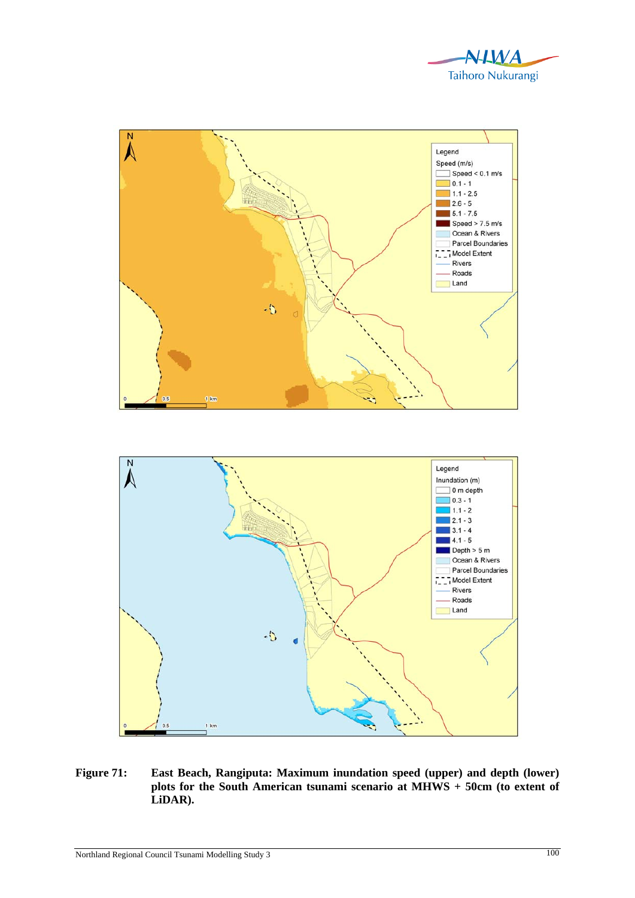



**Figure 71: East Beach, Rangiputa: Maximum inundation speed (upper) and depth (lower) plots for the South American tsunami scenario at MHWS + 50cm (to extent of LiDAR).**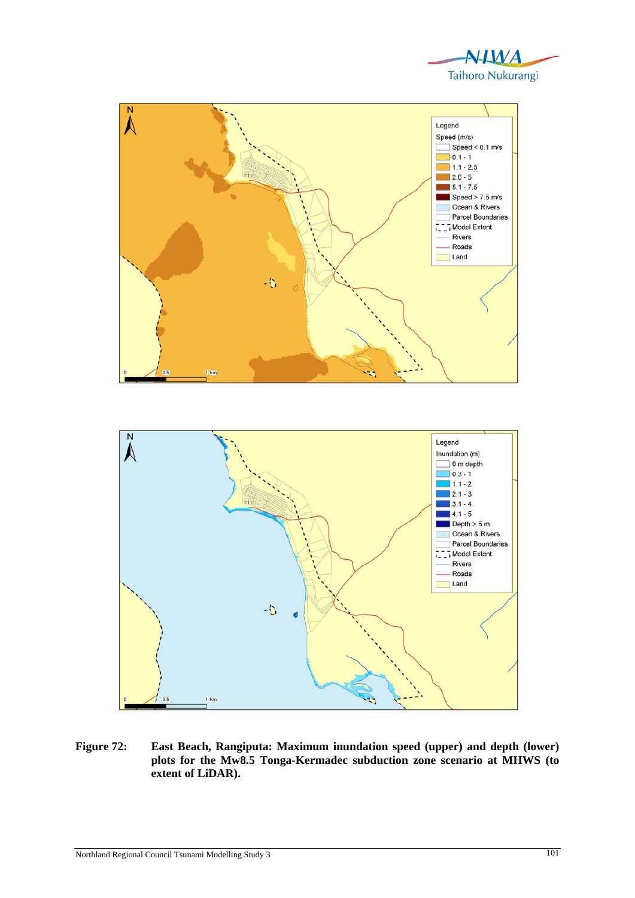





**Figure 72: East Beach, Rangiputa: Maximum inundation speed (upper) and depth (lower) plots for the Mw8.5 Tonga-Kermadec subduction zone scenario at MHWS (to extent of LiDAR).**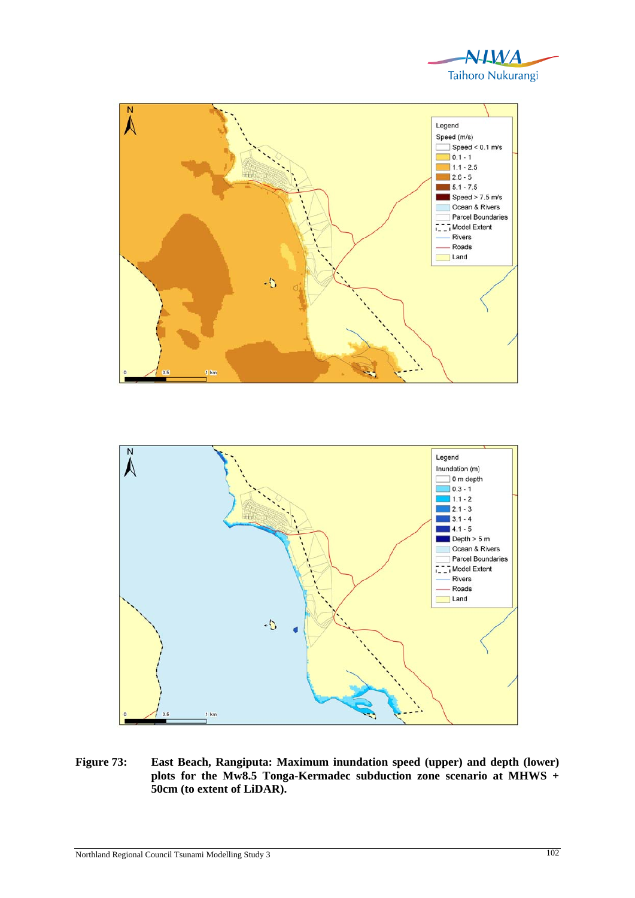





**Figure 73: East Beach, Rangiputa: Maximum inundation speed (upper) and depth (lower) plots for the Mw8.5 Tonga-Kermadec subduction zone scenario at MHWS + 50cm (to extent of LiDAR).**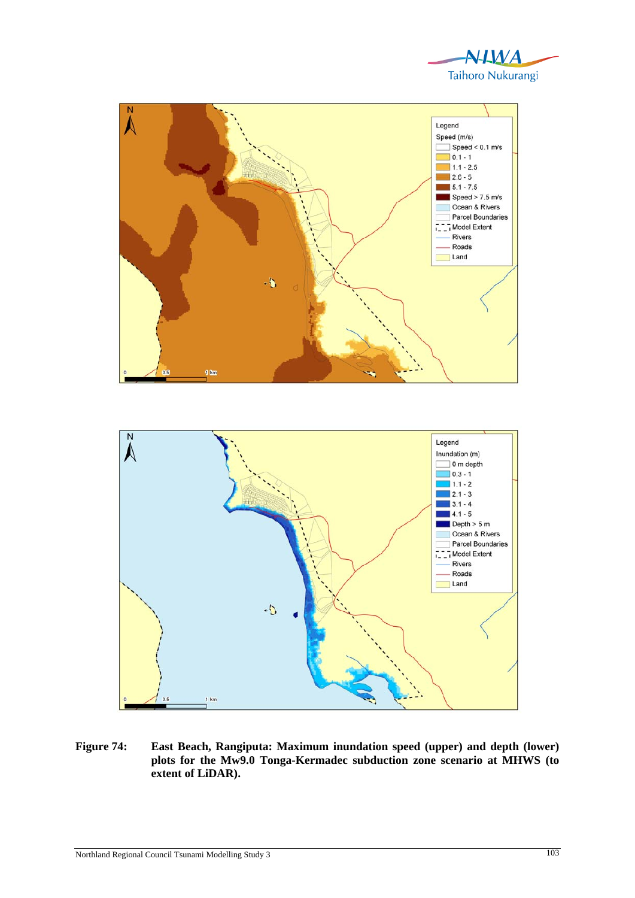





**Figure 74: East Beach, Rangiputa: Maximum inundation speed (upper) and depth (lower) plots for the Mw9.0 Tonga-Kermadec subduction zone scenario at MHWS (to extent of LiDAR).**